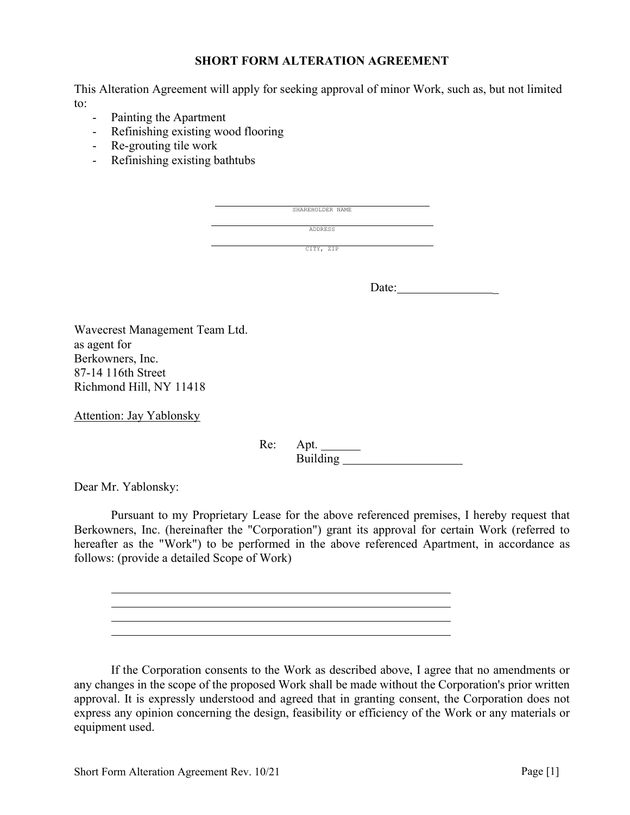### SHORT FORM ALTERATION AGREEMENT

This Alteration Agreement will apply for seeking approval of minor Work, such as, but not limited to:

- Painting the Apartment
- Refinishing existing wood flooring
- Re-grouting tile work
- Refinishing existing bathtubs

| SHAREHOLDER NAME |  |
|------------------|--|
| ADDRESS          |  |
| CITY, ZIP        |  |

Date: \_

Wavecrest Management Team Ltd. as agent for Berkowners, Inc. 87-14 116th Street Richmond Hill, NY 11418

Attention: Jay Yablonsky

Re: Apt. Building

Dear Mr. Yablonsky:

Pursuant to my Proprietary Lease for the above referenced premises, I hereby request that Berkowners, Inc. (hereinafter the "Corporation") grant its approval for certain Work (referred to hereafter as the "Work") to be performed in the above referenced Apartment, in accordance as follows: (provide a detailed Scope of Work)

<u> 1989 - Johann Barn, amerikansk politiker (d. 1989)</u>

If the Corporation consents to the Work as described above, I agree that no amendments or any changes in the scope of the proposed Work shall be made without the Corporation's prior written approval. It is expressly understood and agreed that in granting consent, the Corporation does not express any opinion concerning the design, feasibility or efficiency of the Work or any materials or equipment used.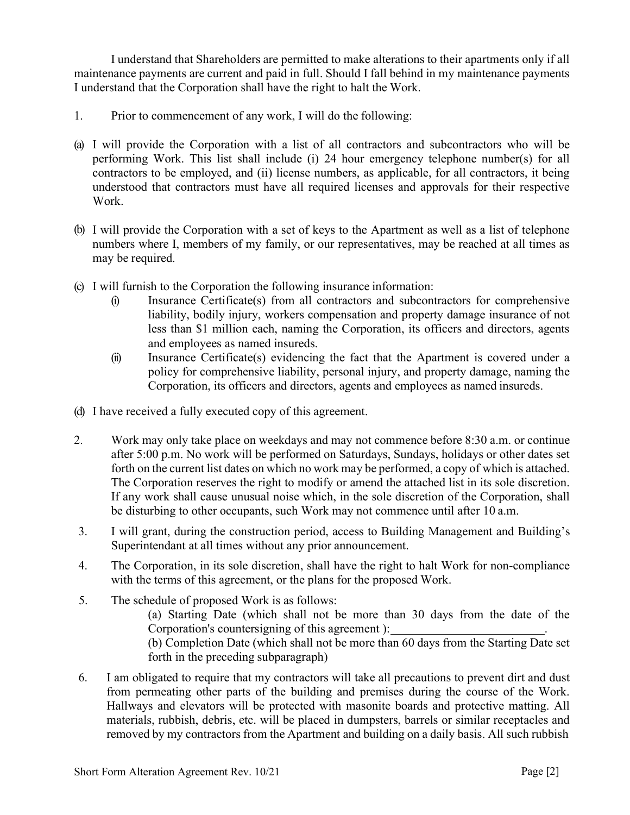I understand that Shareholders are permitted to make alterations to their apartments only if all maintenance payments are current and paid in full. Should I fall behind in my maintenance payments I understand that the Corporation shall have the right to halt the Work.

- 1. Prior to commencement of any work, I will do the following:
- (a) I will provide the Corporation with a list of all contractors and subcontractors who will be performing Work. This list shall include (i) 24 hour emergency telephone number(s) for all contractors to be employed, and (ii) license numbers, as applicable, for all contractors, it being understood that contractors must have all required licenses and approvals for their respective Work.
- (b) I will provide the Corporation with a set of keys to the Apartment as well as a list of telephone numbers where I, members of my family, or our representatives, may be reached at all times as may be required.
- (c) I will furnish to the Corporation the following insurance information:
	- (i) Insurance Certificate(s) from all contractors and subcontractors for comprehensive liability, bodily injury, workers compensation and property damage insurance of not less than \$1 million each, naming the Corporation, its officers and directors, agents and employees as named insureds.
	- (ii) Insurance Certificate(s) evidencing the fact that the Apartment is covered under a policy for comprehensive liability, personal injury, and property damage, naming the Corporation, its officers and directors, agents and employees as named insureds.
- (d) I have received a fully executed copy of this agreement.
- 2. Work may only take place on weekdays and may not commence before 8:30 a.m. or continue after 5:00 p.m. No work will be performed on Saturdays, Sundays, holidays or other dates set forth on the current list dates on which no work may be performed, a copy of which is attached. The Corporation reserves the right to modify or amend the attached list in its sole discretion. If any work shall cause unusual noise which, in the sole discretion of the Corporation, shall be disturbing to other occupants, such Work may not commence until after 10 a.m.
- 3. I will grant, during the construction period, access to Building Management and Building's Superintendant at all times without any prior announcement.
- 4. The Corporation, in its sole discretion, shall have the right to halt Work for non-compliance with the terms of this agreement, or the plans for the proposed Work.
- 5. The schedule of proposed Work is as follows: (a) Starting Date (which shall not be more than 30 days from the date of the Corporation's countersigning of this agreement ): (b) Completion Date (which shall not be more than 60 days from the Starting Date set forth in the preceding subparagraph)
- 6. I am obligated to require that my contractors will take all precautions to prevent dirt and dust from permeating other parts of the building and premises during the course of the Work. Hallways and elevators will be protected with masonite boards and protective matting. All materials, rubbish, debris, etc. will be placed in dumpsters, barrels or similar receptacles and removed by my contractors from the Apartment and building on a daily basis. All such rubbish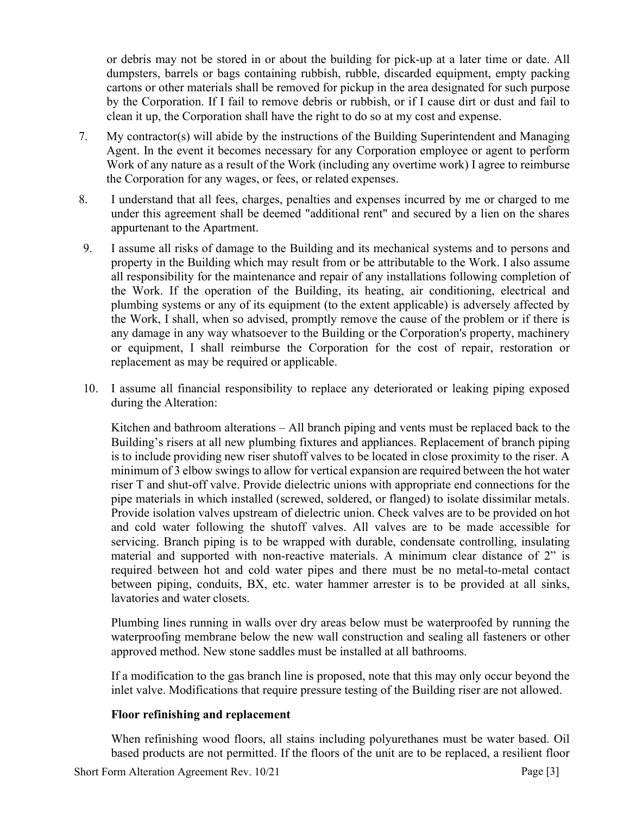or debris may not be stored in or about the building for pick-up at a later time or date. All dumpsters, barrels or bags containing rubbish, rubble, discarded equipment, empty packing cartons or other materials shall be removed for pickup in the area designated for such purpose by the Corporation. If I fail to remove debris or rubbish, or if I cause dirt or dust and fail to clean it up, the Corporation shall have the right to do so at my cost and expense.

- 7. My contractor(s) will abide by the instructions of the Building Superintendent and Managing Agent. In the event it becomes necessary for any Corporation employee or agent to perform Work of any nature as a result of the Work (including any overtime work) I agree to reimburse the Corporation for any wages, or fees, or related expenses.
- 8. I understand that all fees, charges, penalties and expenses incurred by me or charged to me under this agreement shall be deemed "additional rent" and secured by a lien on the shares appurtenant to the Apartment.
- 9. I assume all risks of damage to the Building and its mechanical systems and to persons and property in the Building which may result from or be attributable to the Work. I also assume all responsibility for the maintenance and repair of any installations following completion of the Work. If the operation of the Building, its heating, air conditioning, electrical and plumbing systems or any of its equipment (to the extent applicable) is adversely affected by the Work, I shall, when so advised, promptly remove the cause of the problem or if there is any damage in any way whatsoever to the Building or the Corporation's property, machinery or equipment, I shall reimburse the Corporation for the cost of repair, restoration or replacement as may be required or applicable.
- 10. I assume all financial responsibility to replace any deteriorated or leaking piping exposed during the Alteration:

Kitchen and bathroom alterations – All branch piping and vents must be replaced back to the Building's risers at all new plumbing fixtures and appliances. Replacement of branch piping is to include providing new riser shutoff valves to be located in close proximity to the riser. A minimum of 3 elbow swings to allow for vertical expansion are required between the hot water riser T and shut-off valve. Provide dielectric unions with appropriate end connections for the pipe materials in which installed (screwed, soldered, or flanged) to isolate dissimilar metals. Provide isolation valves upstream of dielectric union. Check valves are to be provided on hot and cold water following the shutoff valves. All valves are to be made accessible for servicing. Branch piping is to be wrapped with durable, condensate controlling, insulating material and supported with non-reactive materials. A minimum clear distance of 2" is required between hot and cold water pipes and there must be no metal-to-metal contact between piping, conduits, BX, etc. water hammer arrester is to be provided at all sinks, lavatories and water closets.

Plumbing lines running in walls over dry areas below must be waterproofed by running the waterproofing membrane below the new wall construction and sealing all fasteners or other approved method. New stone saddles must be installed at all bathrooms.

If a modification to the gas branch line is proposed, note that this may only occur beyond the inlet valve. Modifications that require pressure testing of the Building riser are not allowed.

### Floor refinishing and replacement

When refinishing wood floors, all stains including polyurethanes must be water based. Oil based products are not permitted. If the floors of the unit are to be replaced, a resilient floor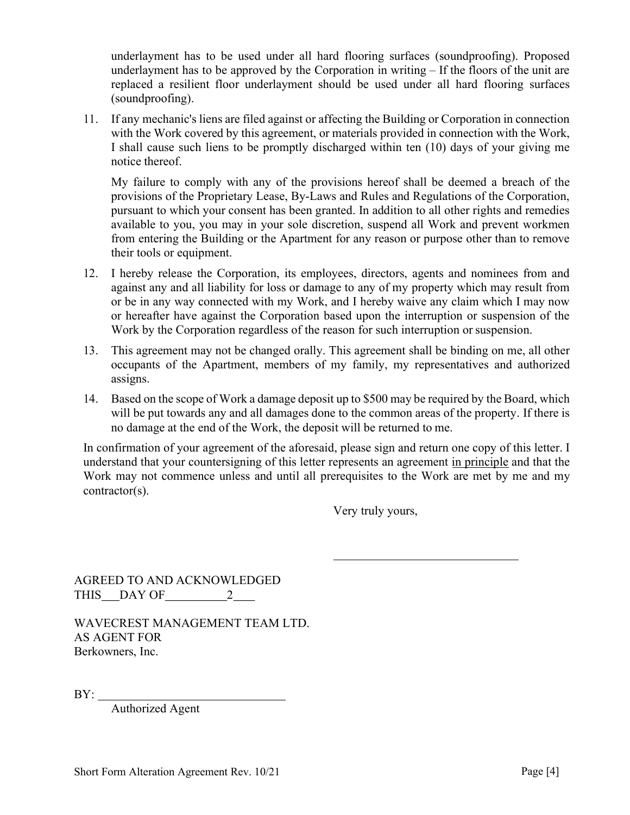underlayment has to be used under all hard flooring surfaces (soundproofing). Proposed underlayment has to be approved by the Corporation in writing – If the floors of the unit are replaced a resilient floor underlayment should be used under all hard flooring surfaces (soundproofing).

11. If any mechanic's liens are filed against or affecting the Building or Corporation in connection with the Work covered by this agreement, or materials provided in connection with the Work, I shall cause such liens to be promptly discharged within ten (10) days of your giving me notice thereof.

My failure to comply with any of the provisions hereof shall be deemed a breach of the provisions of the Proprietary Lease, By-Laws and Rules and Regulations of the Corporation, pursuant to which your consent has been granted. In addition to all other rights and remedies available to you, you may in your sole discretion, suspend all Work and prevent workmen from entering the Building or the Apartment for any reason or purpose other than to remove their tools or equipment.

- 12. I hereby release the Corporation, its employees, directors, agents and nominees from and against any and all liability for loss or damage to any of my property which may result from or be in any way connected with my Work, and I hereby waive any claim which I may now or hereafter have against the Corporation based upon the interruption or suspension of the Work by the Corporation regardless of the reason for such interruption or suspension.
- 13. This agreement may not be changed orally. This agreement shall be binding on me, all other occupants of the Apartment, members of my family, my representatives and authorized assigns.
- 14. Based on the scope of Work a damage deposit up to \$500 may be required by the Board, which will be put towards any and all damages done to the common areas of the property. If there is no damage at the end of the Work, the deposit will be returned to me.

In confirmation of your agreement of the aforesaid, please sign and return one copy of this letter. I understand that your countersigning of this letter represents an agreement in principle and that the Work may not commence unless and until all prerequisites to the Work are met by me and my contractor(s).

Very truly yours,

AGREED TO AND ACKNOWLEDGED THIS DAY OF 2

WAVECREST MANAGEMENT TEAM LTD. AS AGENT FOR Berkowners, Inc.

 $BY:$ 

Authorized Agent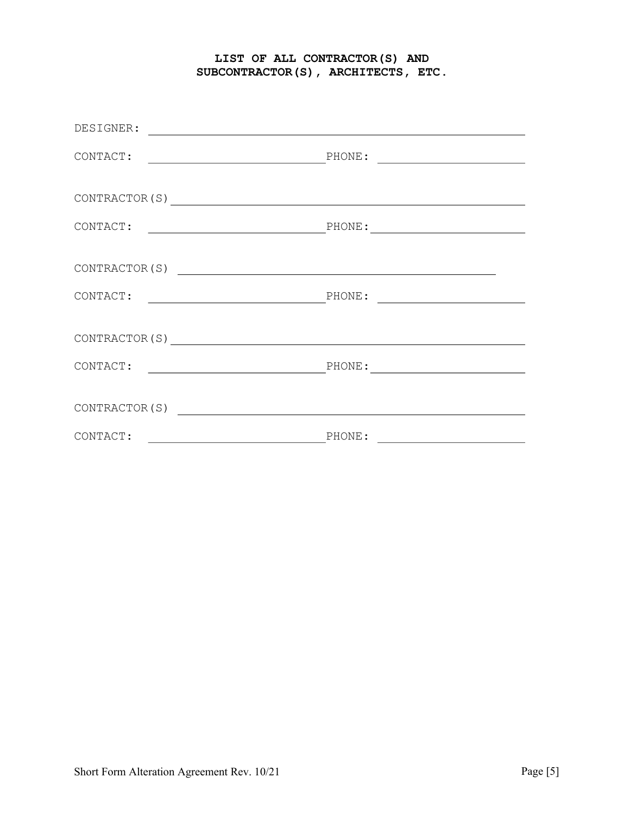## LIST OF ALL CONTRACTOR(S) AND SUBCONTRACTOR(S), ARCHITECTS, ETC.

| DESIGNER:                                          |        |
|----------------------------------------------------|--------|
|                                                    |        |
| CONTRACTOR (S) NORTH CONTRACTOR CONTRACTOR CONTROL |        |
|                                                    |        |
|                                                    |        |
|                                                    |        |
| CONTRACTOR(S) $\qquad \qquad \qquad$               |        |
| CONTACT:                                           |        |
|                                                    |        |
| CONTACT:                                           | PHONE: |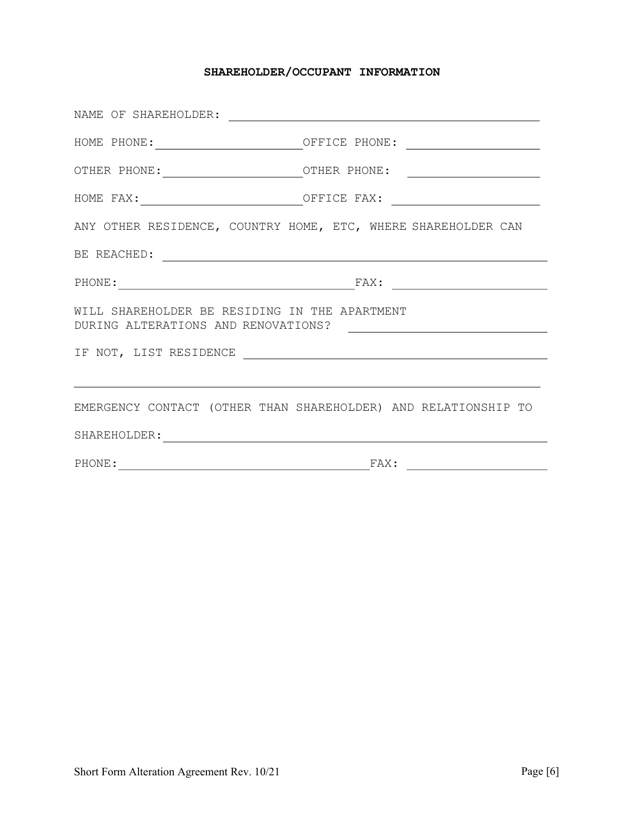## SHAREHOLDER/OCCUPANT INFORMATION

|                                                                | HOME PHONE: ________________________________OFFICE PHONE: ______________________ |  |  |
|----------------------------------------------------------------|----------------------------------------------------------------------------------|--|--|
|                                                                |                                                                                  |  |  |
|                                                                |                                                                                  |  |  |
| ANY OTHER RESIDENCE, COUNTRY HOME, ETC, WHERE SHAREHOLDER CAN  |                                                                                  |  |  |
|                                                                |                                                                                  |  |  |
|                                                                | PHONE: FAX:                                                                      |  |  |
| WILL SHAREHOLDER BE RESIDING IN THE APARTMENT                  |                                                                                  |  |  |
|                                                                |                                                                                  |  |  |
|                                                                |                                                                                  |  |  |
| EMERGENCY CONTACT (OTHER THAN SHAREHOLDER) AND RELATIONSHIP TO |                                                                                  |  |  |
|                                                                |                                                                                  |  |  |
| PHONE:                                                         | $\texttt{FAX:}$                                                                  |  |  |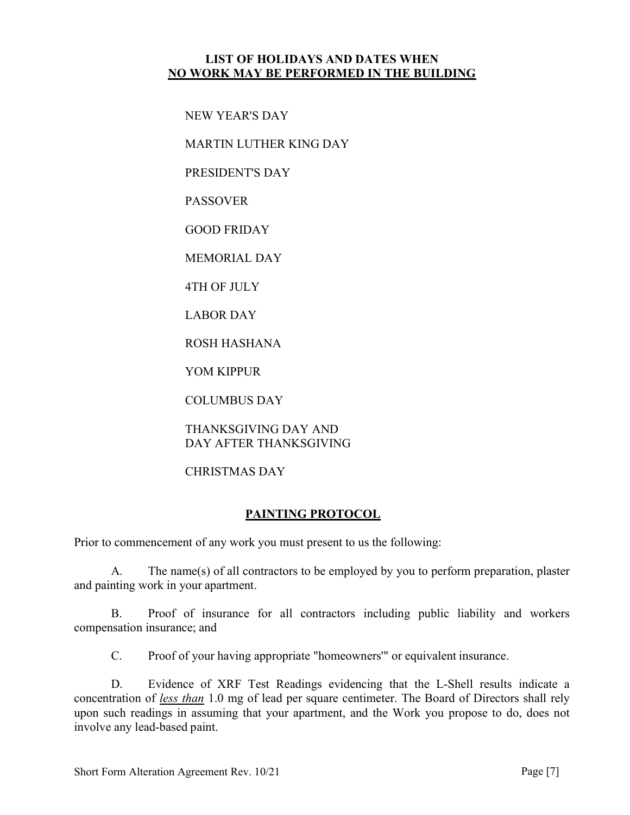## LIST OF HOLIDAYS AND DATES WHEN NO WORK MAY BE PERFORMED IN THE BUILDING

NEW YEAR'S DAY

MARTIN LUTHER KING DAY

PRESIDENT'S DAY

PASSOVER

GOOD FRIDAY

MEMORIAL DAY

4TH OF JULY

LABOR DAY

ROSH HASHANA

YOM KIPPUR

COLUMBUS DAY

THANKSGIVING DAY AND DAY AFTER THANKSGIVING

CHRISTMAS DAY

### PAINTING PROTOCOL

Prior to commencement of any work you must present to us the following:

A. The name(s) of all contractors to be employed by you to perform preparation, plaster and painting work in your apartment.

B. Proof of insurance for all contractors including public liability and workers compensation insurance; and

C. Proof of your having appropriate "homeowners'" or equivalent insurance.

D. Evidence of XRF Test Readings evidencing that the L-Shell results indicate a concentration of less than 1.0 mg of lead per square centimeter. The Board of Directors shall rely upon such readings in assuming that your apartment, and the Work you propose to do, does not involve any lead-based paint.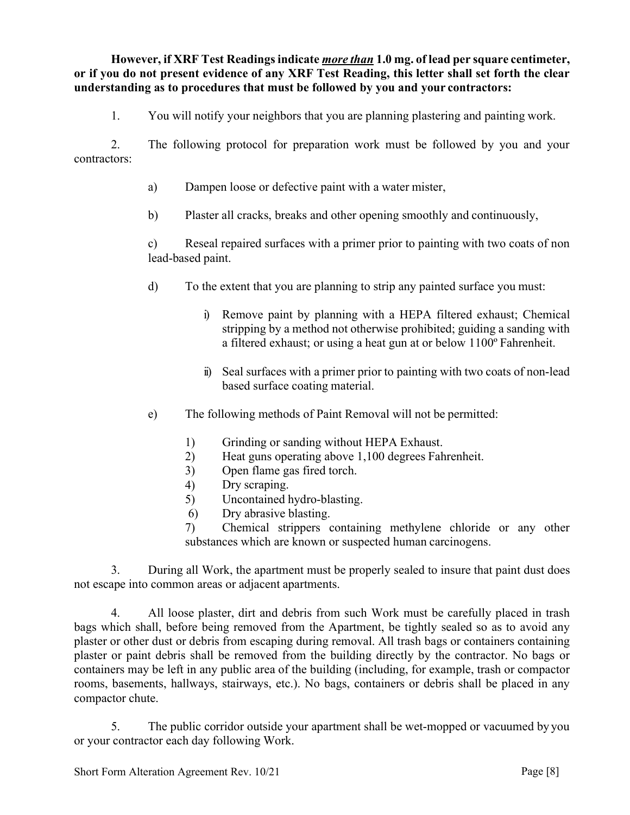However, if XRF Test Readings indicate *more than* 1.0 mg. of lead per square centimeter, or if you do not present evidence of any XRF Test Reading, this letter shall set forth the clear understanding as to procedures that must be followed by you and your contractors:

1. You will notify your neighbors that you are planning plastering and painting work.

2. The following protocol for preparation work must be followed by you and your contractors:

- a) Dampen loose or defective paint with a water mister,
- b) Plaster all cracks, breaks and other opening smoothly and continuously,

c) Reseal repaired surfaces with a primer prior to painting with two coats of non lead-based paint.

- d) To the extent that you are planning to strip any painted surface you must:
	- i) Remove paint by planning with a HEPA filtered exhaust; Chemical stripping by a method not otherwise prohibited; guiding a sanding with a filtered exhaust; or using a heat gun at or below 1100º Fahrenheit.
	- ii) Seal surfaces with a primer prior to painting with two coats of non-lead based surface coating material.
- e) The following methods of Paint Removal will not be permitted:
	- 1) Grinding or sanding without HEPA Exhaust.
	- 2) Heat guns operating above 1,100 degrees Fahrenheit.
	- 3) Open flame gas fired torch.
	- 4) Dry scraping.
	- 5) Uncontained hydro-blasting.
	- 6) Dry abrasive blasting.

7) Chemical strippers containing methylene chloride or any other substances which are known or suspected human carcinogens.

3. During all Work, the apartment must be properly sealed to insure that paint dust does not escape into common areas or adjacent apartments.

4. All loose plaster, dirt and debris from such Work must be carefully placed in trash bags which shall, before being removed from the Apartment, be tightly sealed so as to avoid any plaster or other dust or debris from escaping during removal. All trash bags or containers containing plaster or paint debris shall be removed from the building directly by the contractor. No bags or containers may be left in any public area of the building (including, for example, trash or compactor rooms, basements, hallways, stairways, etc.). No bags, containers or debris shall be placed in any compactor chute.

5. The public corridor outside your apartment shall be wet-mopped or vacuumed by you or your contractor each day following Work.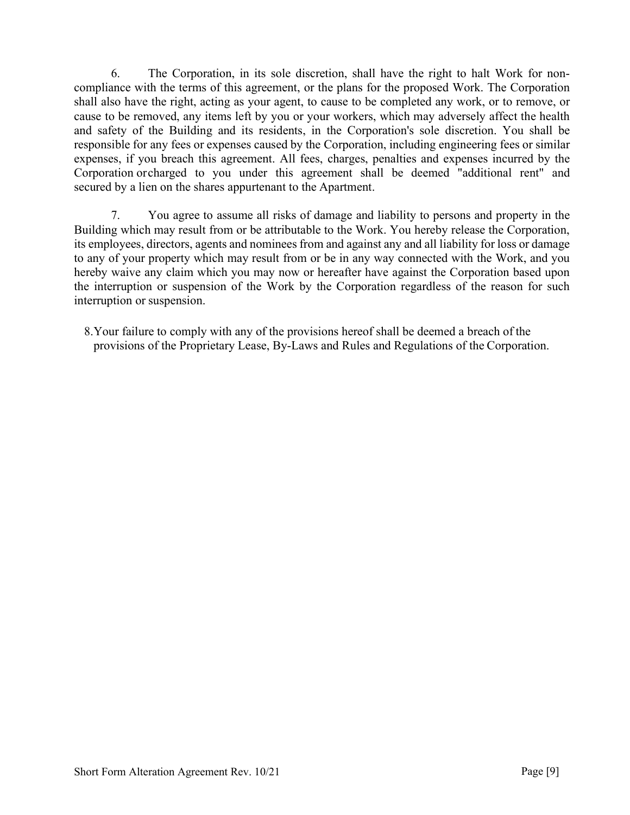6. The Corporation, in its sole discretion, shall have the right to halt Work for noncompliance with the terms of this agreement, or the plans for the proposed Work. The Corporation shall also have the right, acting as your agent, to cause to be completed any work, or to remove, or cause to be removed, any items left by you or your workers, which may adversely affect the health and safety of the Building and its residents, in the Corporation's sole discretion. You shall be responsible for any fees or expenses caused by the Corporation, including engineering fees or similar expenses, if you breach this agreement. All fees, charges, penalties and expenses incurred by the Corporation or charged to you under this agreement shall be deemed "additional rent" and secured by a lien on the shares appurtenant to the Apartment.

7. You agree to assume all risks of damage and liability to persons and property in the Building which may result from or be attributable to the Work. You hereby release the Corporation, its employees, directors, agents and nominees from and against any and all liability for loss or damage to any of your property which may result from or be in any way connected with the Work, and you hereby waive any claim which you may now or hereafter have against the Corporation based upon the interruption or suspension of the Work by the Corporation regardless of the reason for such interruption or suspension.

8.Your failure to comply with any of the provisions hereof shall be deemed a breach of the provisions of the Proprietary Lease, By-Laws and Rules and Regulations of the Corporation.